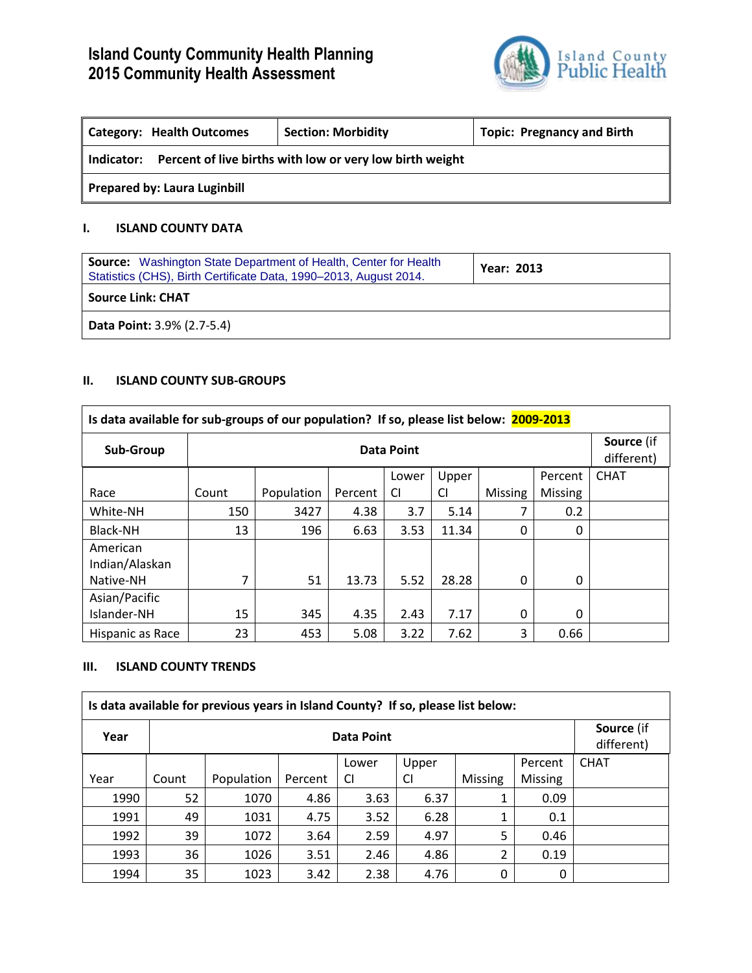

| <b>Category: Health Outcomes</b>    | <b>Section: Morbidity</b>                                | <b>Topic: Pregnancy and Birth</b> |
|-------------------------------------|----------------------------------------------------------|-----------------------------------|
| Indicator:                          | Percent of live births with low or very low birth weight |                                   |
| <b>Prepared by: Laura Luginbill</b> |                                                          |                                   |

# **I. ISLAND COUNTY DATA**

| <b>Source:</b> Washington State Department of Health, Center for Health<br>Statistics (CHS), Birth Certificate Data, 1990–2013, August 2014. | <b>Year: 2013</b> |
|----------------------------------------------------------------------------------------------------------------------------------------------|-------------------|
| <b>Source Link: CHAT</b>                                                                                                                     |                   |
| <b>Data Point: 3.9% (2.7-5.4)</b>                                                                                                            |                   |

# **II. ISLAND COUNTY SUB-GROUPS**

| Is data available for sub-groups of our population? If so, please list below: 2009-2013 |            |            |         |       |       |                |                |                          |
|-----------------------------------------------------------------------------------------|------------|------------|---------|-------|-------|----------------|----------------|--------------------------|
| Sub-Group                                                                               | Data Point |            |         |       |       |                |                | Source (if<br>different) |
|                                                                                         |            |            |         | Lower | Upper |                | Percent        | <b>CHAT</b>              |
| Race                                                                                    | Count      | Population | Percent | CI    | CI    | <b>Missing</b> | <b>Missing</b> |                          |
| White-NH                                                                                | 150        | 3427       | 4.38    | 3.7   | 5.14  | 7              | 0.2            |                          |
| Black-NH                                                                                | 13         | 196        | 6.63    | 3.53  | 11.34 | 0              | $\Omega$       |                          |
| American<br>Indian/Alaskan                                                              |            |            |         |       |       |                |                |                          |
| Native-NH                                                                               |            | 51         | 13.73   | 5.52  | 28.28 | 0              | $\Omega$       |                          |
| Asian/Pacific                                                                           |            |            |         |       |       |                |                |                          |
| Islander-NH                                                                             | 15         | 345        | 4.35    | 2.43  | 7.17  | 0              | $\Omega$       |                          |
| Hispanic as Race                                                                        | 23         | 453        | 5.08    | 3.22  | 7.62  | 3              | 0.66           |                          |

# **III. ISLAND COUNTY TRENDS**

|      |       | Is data available for previous years in Island County? If so, please list below: |         |       |       |                |                |                                 |
|------|-------|----------------------------------------------------------------------------------|---------|-------|-------|----------------|----------------|---------------------------------|
| Year |       | Data Point                                                                       |         |       |       |                |                | <b>Source</b> (if<br>different) |
|      |       |                                                                                  |         | Lower | Upper |                | Percent        | <b>CHAT</b>                     |
| Year | Count | Population                                                                       | Percent | CI    | CI    | <b>Missing</b> | <b>Missing</b> |                                 |
| 1990 | 52    | 1070                                                                             | 4.86    | 3.63  | 6.37  |                | 0.09           |                                 |
| 1991 | 49    | 1031                                                                             | 4.75    | 3.52  | 6.28  |                | 0.1            |                                 |
| 1992 | 39    | 1072                                                                             | 3.64    | 2.59  | 4.97  | 5              | 0.46           |                                 |
| 1993 | 36    | 1026                                                                             | 3.51    | 2.46  | 4.86  | 2              | 0.19           |                                 |
| 1994 | 35    | 1023                                                                             | 3.42    | 2.38  | 4.76  | $\Omega$       | 0              |                                 |